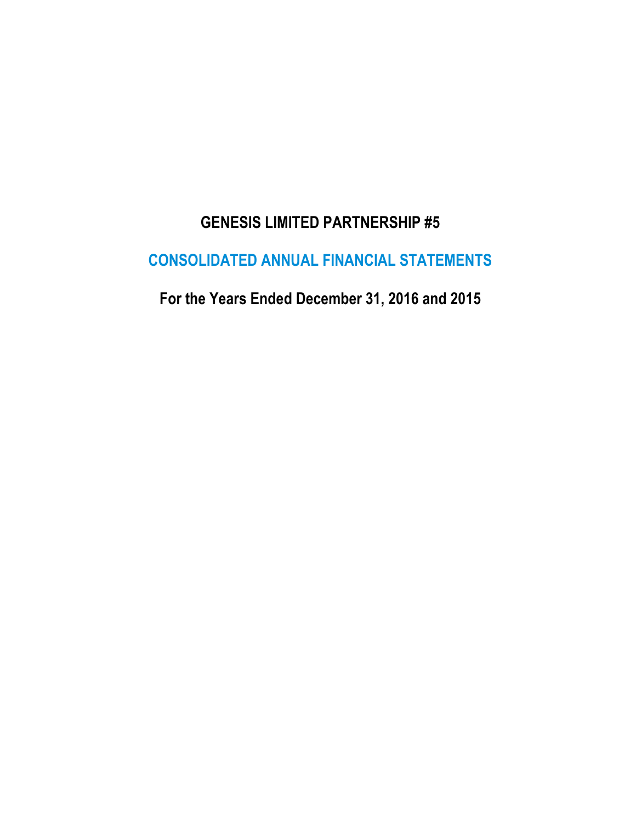# **GENESIS LIMITED PARTNERSHIP #5**

# **CONSOLIDATED ANNUAL FINANCIAL STATEMENTS**

**For the Years Ended December 31, 2016 and 2015**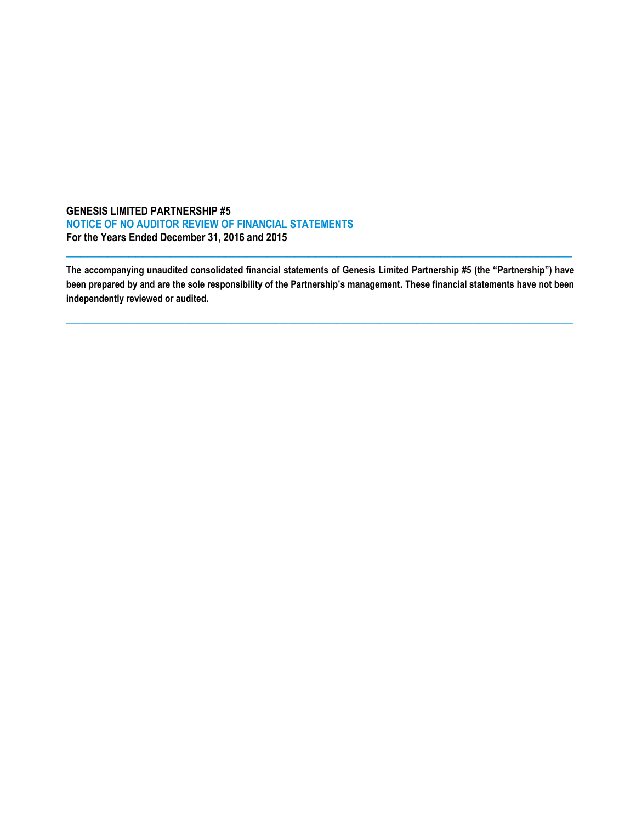### **GENESIS LIMITED PARTNERSHIP #5 NOTICE OF NO AUDITOR REVIEW OF FINANCIAL STATEMENTS For the Years Ended December 31, 2016 and 2015**

**The accompanying unaudited consolidated financial statements of Genesis Limited Partnership #5 (the "Partnership") have been prepared by and are the sole responsibility of the Partnership's management. These financial statements have not been independently reviewed or audited.**

**\_\_\_\_\_\_\_\_\_\_\_\_\_\_\_\_\_\_\_\_\_\_\_\_\_\_\_\_\_\_\_\_\_\_\_\_\_\_\_\_\_\_\_\_\_\_\_\_\_\_\_\_\_\_\_\_\_\_\_\_\_\_\_\_\_\_\_\_\_\_\_\_\_\_\_\_\_\_\_\_\_\_\_\_\_\_\_\_\_\_\_\_\_\_\_\_\_\_\_\_\_\_\_\_\_\_\_**

 $\_$  ,  $\_$  ,  $\_$  ,  $\_$  ,  $\_$  ,  $\_$  ,  $\_$  ,  $\_$  ,  $\_$  ,  $\_$  ,  $\_$  ,  $\_$  ,  $\_$  ,  $\_$  ,  $\_$  ,  $\_$  ,  $\_$  ,  $\_$  ,  $\_$  ,  $\_$  ,  $\_$  ,  $\_$  ,  $\_$  ,  $\_$  ,  $\_$  ,  $\_$  ,  $\_$  ,  $\_$  ,  $\_$  ,  $\_$  ,  $\_$  ,  $\_$  ,  $\_$  ,  $\_$  ,  $\_$  ,  $\_$  ,  $\_$  ,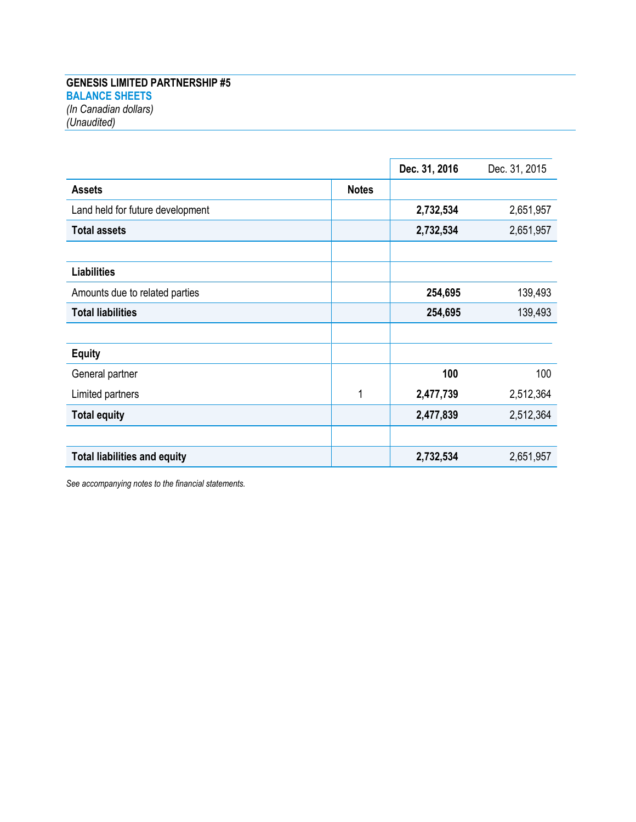## **GENESIS LIMITED PARTNERSHIP #5 BALANCE SHEETS** *(In Canadian dollars) (Unaudited)*

|                                     |              | Dec. 31, 2016 | Dec. 31, 2015 |
|-------------------------------------|--------------|---------------|---------------|
| <b>Assets</b>                       | <b>Notes</b> |               |               |
| Land held for future development    |              | 2,732,534     | 2,651,957     |
| <b>Total assets</b>                 |              | 2,732,534     | 2,651,957     |
| <b>Liabilities</b>                  |              |               |               |
| Amounts due to related parties      |              | 254,695       | 139,493       |
| <b>Total liabilities</b>            |              | 254,695       | 139,493       |
| <b>Equity</b>                       |              |               |               |
| General partner                     |              | 100           | 100           |
| Limited partners                    | 1            | 2,477,739     | 2,512,364     |
| <b>Total equity</b>                 |              | 2,477,839     | 2,512,364     |
| <b>Total liabilities and equity</b> |              | 2,732,534     | 2,651,957     |

*See accompanying notes to the financial statements.*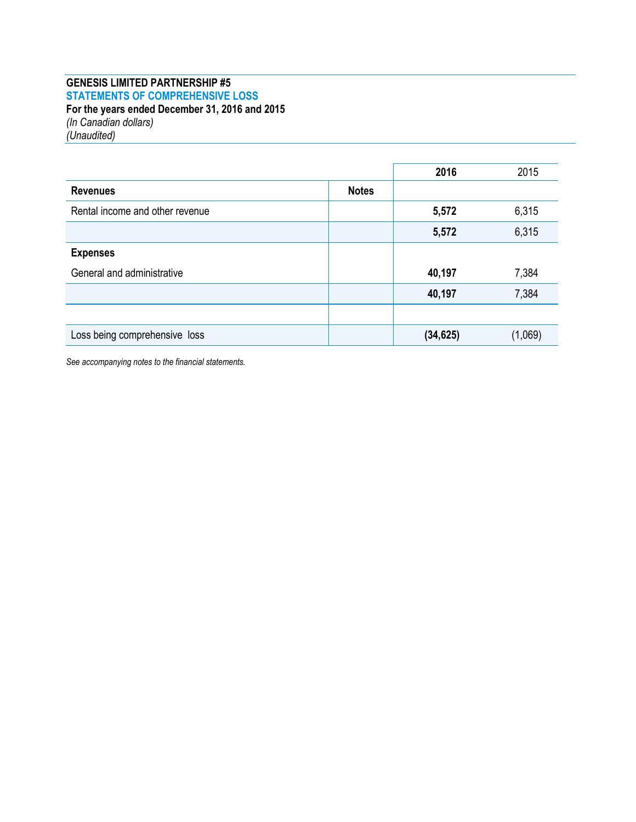## **GENESIS LIMITED PARTNERSHIP #5 STATEMENTS OF COMPREHENSIVE LOSS For the years ended December 31, 2016 and 2015** *(In Canadian dollars)*

*(Unaudited)*

|                                 |              | 2016      | 2015    |
|---------------------------------|--------------|-----------|---------|
| <b>Revenues</b>                 | <b>Notes</b> |           |         |
| Rental income and other revenue |              | 5,572     | 6,315   |
|                                 |              | 5,572     | 6,315   |
| <b>Expenses</b>                 |              |           |         |
| General and administrative      |              | 40,197    | 7,384   |
|                                 |              | 40,197    | 7,384   |
|                                 |              |           |         |
| Loss being comprehensive loss   |              | (34, 625) | (1,069) |

*See accompanying notes to the financial statements.*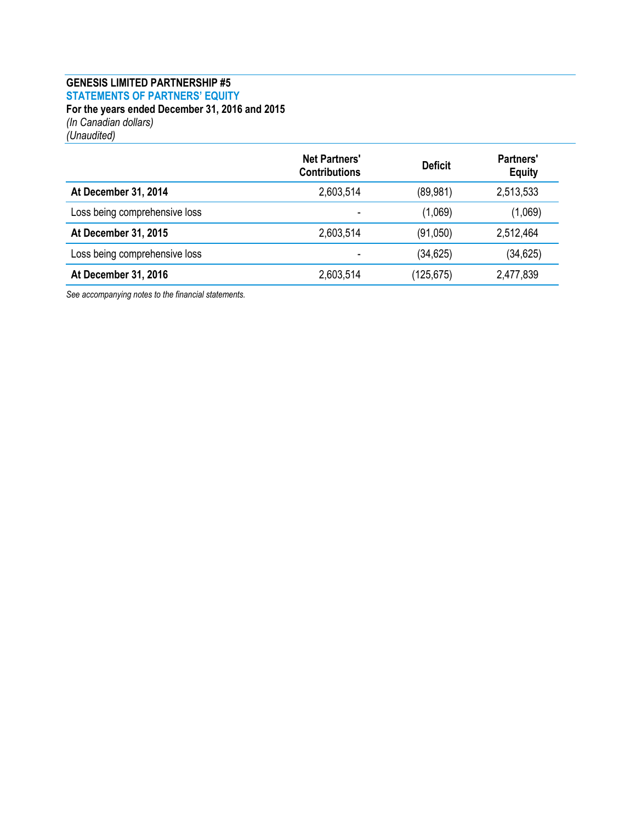## **GENESIS LIMITED PARTNERSHIP #5 STATEMENTS OF PARTNERS' EQUITY For the years ended December 31, 2016 and 2015** *(In Canadian dollars)*

*(Unaudited)*

|                               | <b>Net Partners'</b><br><b>Contributions</b> | <b>Deficit</b> | <b>Partners'</b><br><b>Equity</b> |
|-------------------------------|----------------------------------------------|----------------|-----------------------------------|
| At December 31, 2014          | 2,603,514                                    | (89, 981)      | 2,513,533                         |
| Loss being comprehensive loss | ۰                                            | (1,069)        | (1,069)                           |
| At December 31, 2015          | 2,603,514                                    | (91,050)       | 2,512,464                         |
| Loss being comprehensive loss | $\,$                                         | (34, 625)      | (34, 625)                         |
| At December 31, 2016          | 2,603,514                                    | (125, 675)     | 2,477,839                         |

*See accompanying notes to the financial statements.*